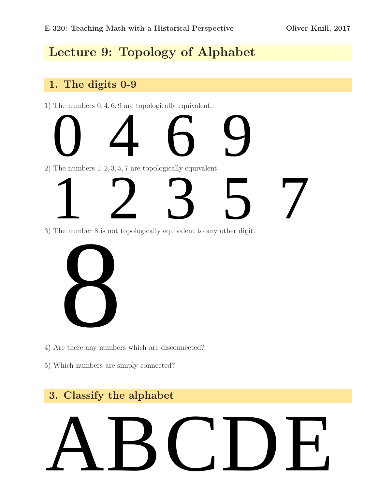# Lecture 9: Topology of Alphabet

## 1. The digits 0-9

1) The numbers 0, 4, 6, 9 are topologically equivalent.





3) The number 8 is not topologically equivalent to any other digit.



- 4) Are there any numbers which are disconnected?
- 5) Which numbers are simply connected?

# 3. Classify the alphabet

# ABCDE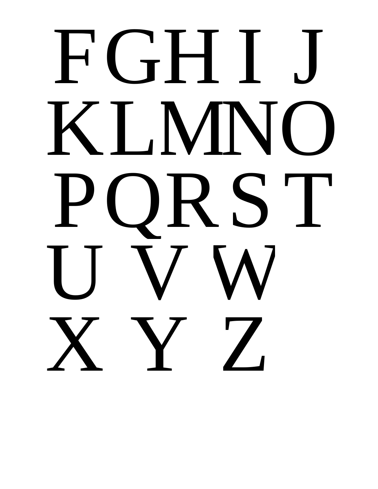# FGHI J KLMNO PORST UVW XYZ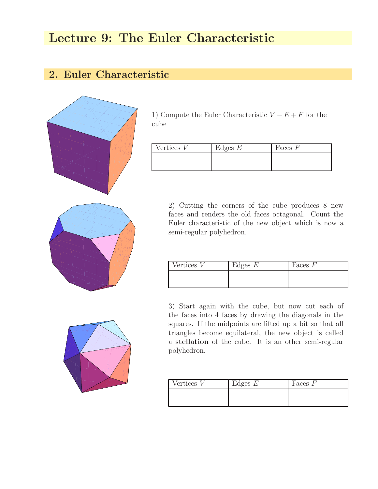#### 2. Euler Characteristic



1) Compute the Euler Characteristic  $V - E + F$  for the cube

| Vertices $V$ | Edges $E$ | Faces $F$ |
|--------------|-----------|-----------|
|              |           |           |
|              |           |           |



2) Cutting the corners of the cube produces 8 new faces and renders the old faces octagonal. Count the Euler characteristic of the new object which is now a semi-regular polyhedron.

| Vertices V | Edges $E$ | Faces $F$ |
|------------|-----------|-----------|
|            |           |           |
|            |           |           |

3) Start again with the cube, but now cut each of the faces into 4 faces by drawing the diagonals in the squares. If the midpoints are lifted up a bit so that all triangles become equilateral, the new object is called a stellation of the cube. It is an other semi-regular polyhedron.

| Vertices V | Edges $E$ | Faces <i>F</i> |
|------------|-----------|----------------|
|            |           |                |
|            |           |                |

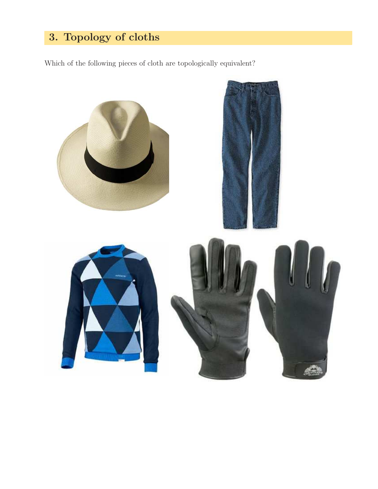# 3. Topology of cloths

Which of the following pieces of cloth are topologically equivalent?

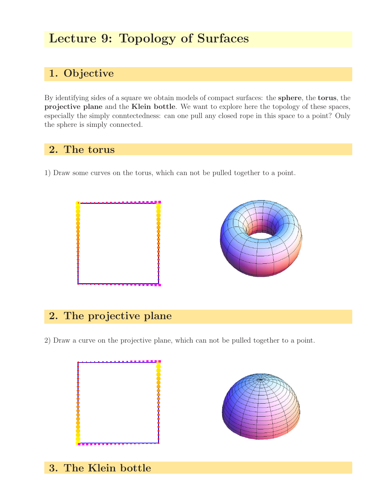# Lecture 9: Topology of Surfaces

### 1. Objective

By identifying sides of a square we obtain models of compact surfaces: the sphere, the torus, the projective plane and the Klein bottle. We want to explore here the topology of these spaces, especially the simply conntectedness: can one pull any closed rope in this space to a point? Only the sphere is simply connected.

#### 2. The torus

1) Draw some curves on the torus, which can not be pulled together to a point.



### 2. The projective plane

2) Draw a curve on the projective plane, which can not be pulled together to a point.





3. The Klein bottle